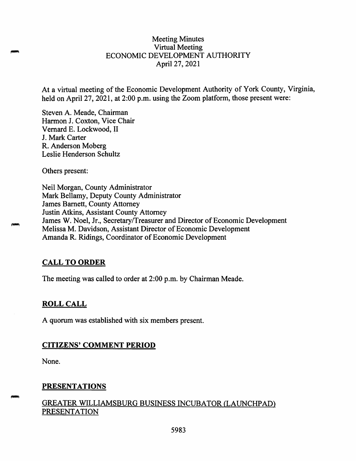#### Meeting Minutes Virtual Meeting ECONOMIC DEVELOPMENT AUTHORITY April 27, 2021

At a virtual meeting of the Economic Development Authority of York County, Virginia, held on April 27, 2021, at 2:00 p.m. using the Zoom platform, those present were:

Steven A. Meade, Chairman Harmon J. Coxton, Vice Chair Vemard E. Lockwood, II J. Mark Carter R. Anderson Moberg Leslie Henderson Schultz

Others present:

Neil Morgan, County Administrator Mark Bellamy, Deputy County Administrator James Barnett, County Attorney Justin Atkins, Assistant County Attorney James W. Noel, Jr., Secretary/Treasurer and Director of Economic Development Melissa M. Davidson, Assistant Director of Economic Development Amanda R. Ridings, Coordinator of Economic Development

#### **CALL TO ORDER**

The meeting was called to order at 2:00 p.m. by Chairman Meade.

#### **ROLL CALL**

A quorum was established with six members present.

#### **CITIZENS' COMMENT PERIOD**

None.

# **PRESENTATIONS**

## GREATER WILLIAMSBURG BUSINESS INCUBATOR (LAUNCHPADJ PRESENTATION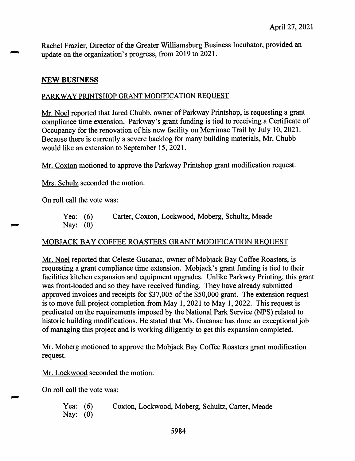Rachel Frazier, Director of the Greater Williamsburg Business Incubator, provided an update on the organization's progress, from 2019 to 2021.

### **NEW BUSINESS**

#### PARKWAY PRINTSHOP GRANT MODIFICATION REQUEST

Mr. Noel reported that Jared Chubb, owner of Parkway Printshop, is requesting a grant compliance time extension. Parkway's grant funding is tied to receiving a Certificate of Occupancy for the renovation of his new facility on Merrimac Trail by July 10, 2021. Because there is currently a severe backlog for many building materials, Mr. Chubb would like an extension to September 15, 2021.

Mr. Coxton motioned to approve the Parkway Printshop grant modification request.

Mrs. Schulz seconded the motion.

On roll call the vote was:

Yea: (6) Carter, Coxton, Lockwood, Moberg, Schultz, Meade Nay: (0)

# MOBJACK BAY COFFEE ROASTERS GRANT MODIFICATION REQUEST

Mr. Noel reported that Celeste Gucanac, owner of Mobjack Bay Coffee Roasters, is requesting a grant compliance time extension. Mobjack's grant funding is tied to their facilities kitchen expansion and equipment upgrades. Unlike Parkway Printing, this grant was front-loaded and so they have received funding. They have already submitted approved invoices and receipts for \$37,005 of the \$50,000 grant. The extension request is to move full project completion from May 1, 2021 to May 1, 2022. This request is predicated on the requirements imposed by the National Park Service (NPS) related to historic building modifications. He stated that Ms. Gucanac has done an exceptional job of managing this project and is working diligently to get this expansion completed.

Mr. Moberg motioned to approve the Mobjack Bay Coffee Roasters grant modification request.

Mr. Lockwood seconded the motion.

On roll call the vote was:

Yea: (6) Nay: (0) Coxton, Lockwood, Moberg, Schultz, Carter, Meade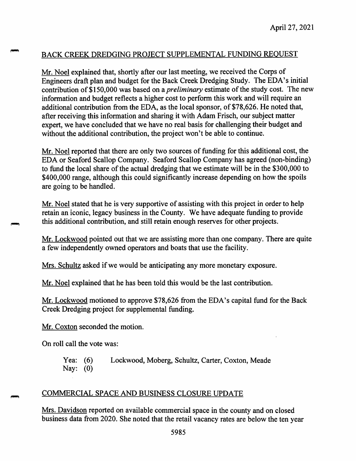# BACK CREEK DREDGING PROJECT SUPPLEMENTAL FUNDING REQUEST

Mr. Noel explained that, shortly after our last meeting, we received the Corps of Engineers draft plan and budget for the Back Creek Dredging Study. The EDA's initial contribution of \$150,000 was based on a *preliminary* estimate of the study cost. The new information and budget reflects a higher cost to perform this work and will require an additional contribution from the EDA, as the local sponsor, of \$78,626. He noted that, after receiving this information and sharing it with Adam Frisch, our subject matter expert, we have concluded that we have no real basis for challenging their budget and without the additional contribution, the project won't be able to continue.

Mr. Noel reported that there are only two sources of funding for this additional cost, the EDA or Seaford Scallop Company. Seaford Scallop Company has agreed (non-binding) to fund the local share of the actual dredging that we estimate will be in the \$300,000 to \$400,000 range, although this could significantly increase depending on how the spoils are going to be handled.

Mr. Noel stated that he is very supportive of assisting with this project in order to help retain an iconic, legacy business in the County. We have adequate funding to provide this additional contribution, and still retain enough reserves for other projects.

Mr. Lockwood pointed out that we are assisting more than one company. There are quite a few independently owned operators and boats that use the facility.

Mrs. Schultz asked if we would be anticipating any more monetary exposure.

Mr. Noel explained that he has been told this would be the last contribution.

Mr. Lockwood motioned to approve \$78,626 from the EDA's capital fund for the Back Creek Dredging project for supplemental funding.

Mr.Coxton seconded the motion.

On roll call the vote was:

Yea: (6) Nay: (0) Lockwood, Moberg, Schultz, Carter, Coxton, Meade

#### COMMERCIAL SPACE AND BUSINESS CLOSURE UPDATE

Mrs. Davidson reported on available commercial space in the county and on closed business data from 2020. She noted that the retail vacancy rates are below the ten year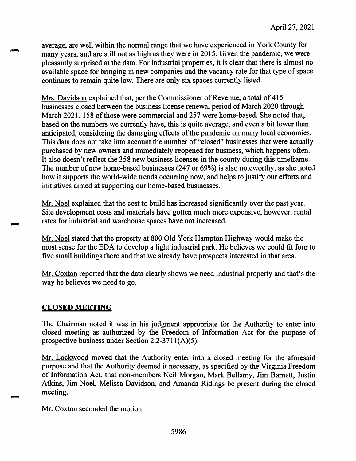average, are well within the normal range that we have experienced in York County for many years, and are still not as high as they were in 2015. Given the pandemic, we were pleasantly surprised at the data. For industrial properties, it is clear that there is almost no available space for bringing in new companies and the vacancy rate for that type of space continues to remain quite low. There are only six spaces currently listed.

Mrs. Davidson explained that, per the Commissioner of Revenue, a total of 415 businesses closed between the business license renewal period of March 2020 through March 2021. 158 of those were commercial and 257 were home-based. She noted that, based on the numbers we currently have, this is quite average, and even a bit lower than anticipated, considering the damaging effects of the pandemic on many local economies. This data does not take into account the number of "closed" businesses that were actually purchased by new owners and immediately reopened for business, which happens often. It also doesn't reflect the 358 new business licenses in the county during this timeframe. The number of new home-based businesses (247 or 69%) is also noteworthy, as she noted how it supports the world-wide trends occurring now, and helps to justify our efforts and initiatives aimed at supporting our home-based businesses.

Mr. Noel explained that the cost to build has increased significantly over the past year. Site development costs and materials have gotten much more expensive, however, rental rates for industrial and warehouse spaces have not increased.

Mr. Noel stated that the property at 800 Old York Hampton Highway would make the most sense for the EDA to develop a light industrial park. He believes we could fit four to five small buildings there and that we already have prospects interested in that area.

Mr. Coxton reported that the data clearly shows we need industrial property and that's the way he believes we need to go.

#### **CLOSED MEETING**

The Chairman noted it was in his judgment appropriate for the Authority to enter into closed meeting as authorized by the Freedom of Information Act for the purpose of prospective business under Section 2.2-3711(A)(5).

Mr. Lockwood moved that the Authority enter into a closed meeting for the aforesaid purpose and that the Authority deemed it necessary, as specified by the Virginia Freedom of Information Act, that non-members Neil Morgan, Mark Bellamy, Jim Barnett, Justin Atkins, Jim Noel, Melissa Davidson, and Amanda Ridings be present during the closed meeting.

Mr. Coxton seconded the motion.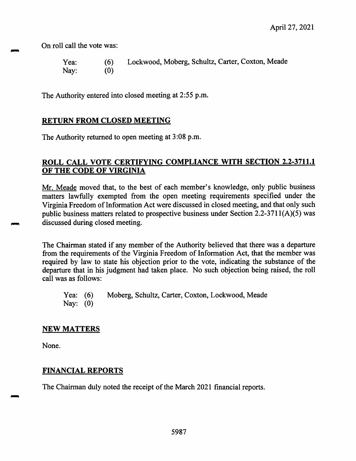On roll call the vote was:

| Yea: | (6) | Lockwood, Moberg, Schultz, Carter, Coxton, Meade |
|------|-----|--------------------------------------------------|
| Nay: | (0) |                                                  |

The Authority entered into closed meeting at 2:55 p.m.

#### **RETURN FROM CLOSED MEETING**

The Authority returned to open meeting at 3:08 p.m.

#### **ROLL CALL VOTE CERTIFYING COMPLIANCE WITH SECTION 2.2-3711.1 OF THE CODE OF VIRGINIA**

Mr. Meade moved that, to the best of each member's knowledge, only public business matters lawfully exempted from the open meeting requirements specified under the Virginia Freedom of Information Act were discussed in closed meeting, and that only such public business matters related to prospective business under Section 2.2-3711(A)(5) was discussed during closed meeting.

The Chairman stated if any member of the Authority believed that there was a departure from the requirements of the Virginia Freedom of Information Act, that the member was required by law to state his objection prior to the vote, indicating the substance of the departure that in his judgment had taken place. No such objection being raised, the roll call was as follows:

Yea: (6) Moberg, Schultz, Carter, Coxton, Lockwood, Meade Nay: (0)

#### **NEW MATTERS**

None.

#### **FINANCIAL REPORTS**

The Chairman duly noted the receipt of the March 2021 financial reports.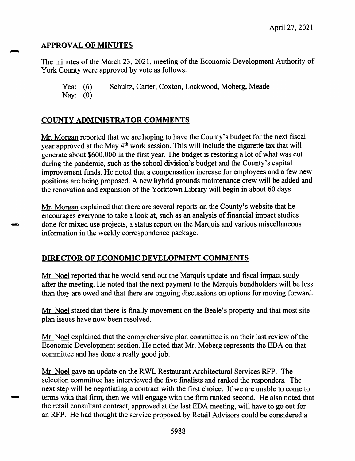## **APPROVAL OF MINUTES**

The minutes of the March 23, 2021, meeting of the Economic Development Authority of York County were approved by vote as follows:

Yea: (6) Schultz, Carter, Coxton, Lockwood, Moberg, Meade Nay: (0)

# **COUNTY ADMINISTRATOR COMMENTS**

Mr. Morgan reported that we are hoping to have the County's budget for the next fiscal year approved at the May 4<sup>th</sup> work session. This will include the cigarette tax that will generate about \$600,000 in the first year. The budget is restoring a lot of what was cut during the pandemic, such as the school division's budget and the County's capital improvement funds. He noted that a compensation increase for employees and a few new positions are being proposed. A new hybrid grounds maintenance crew will be added and the renovation and expansion of the Yorktown Library will begin in about 60 days.

Mr. Morgan explained that there are several reports on the County's website that he encourages everyone to take a look at, such as an analysis of financial impact studies done for mixed use projects, a status report on the Marquis and various miscellaneous information in the weekly correspondence package.

# **DIRECTOR OF ECONOMIC DEVELOPMENT COMMENTS**

Mr. Noel reported that he would send out the Marquis update and fiscal impact study after the meeting. He noted that the next payment to the Marquis bondholders will be less than they are owed and that there are ongoing discussions on options for moving forward.

Mr. Noel stated that there is finally movement on the Beale's property and that most site plan issues have now been resolved.

Mr. Noel explained that the comprehensive plan committee is on their last review of the Economic Development section. He noted that Mr. Moberg represents the EDA on that committee and has done a really good job.

Mr. Noel gave an update on the RWL Restaurant Architectural Services RFP. The selection committee has interviewed the five finalists and ranked the responders. The next step will be negotiating a contract with the first choice. If we are unable to come to terms with that firm, then we will engage with the firm ranked second. He also noted that the retail consultant contract, approved at the last EDA meeting, will have to go out for an RFP. He had thought the service proposed by Retail Advisors could be considered a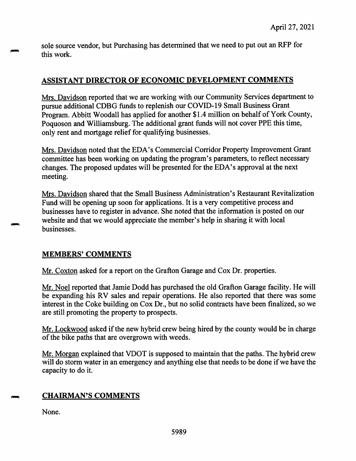sole source vendor, but Purchasing has determined that we need to pu<sup>t</sup> out an RFP for this work.

## **ASSISTANT DIRECTOR OF ECONOMIC DEVELOPMENT COMMENTS**

Mrs. Davidson reported that we are working with our Community Services department to pursue additional CDBG funds to replenish our COVID-19 Small Business Grant Program. Abbitt Woodall has applied for another Si.4 million on behalf of York County, Poquoson and Williamsburg. The additional gran<sup>t</sup> funds will not cover PPE this time, only rent and mortgage relief for qualifying businesses.

Mrs. Davidson noted that the EDA's Commercial Corridor Property Improvement Grant committee has been working on updating the program's parameters, to reflect necessary changes. The proposed updates will be presented for the EDA's approval at the next meeting.

Mrs. Davidson shared that the Small Business Administration's Restaurant Revitalization Fund will be opening up soon for applications. It is <sup>a</sup> very competitive process and businesses have to register in advance. She noted that the information is posted on our website and that we would appreciate the member's help in sharing it with local businesses.

#### **MEMBERS' COMMENTS**

Mr. Coxton asked for <sup>a</sup> repor<sup>t</sup> on the Grafton Garage and Cox Dr. properties.

Mr. Noel reported that Jamie Dodd has purchased the old Grafton Garage facility. He will be expanding his RV sales and repair operations. He also reported that there was some interest in the Coke building on Cox Dr., but no solid contracts have been finalized, so we are still promoting the property to prospects.

Mr. Lockwood asked if the new hybrid crew being hired by the county would be in charge of the bike paths that are overgrown with weeds.

Mr. Morgan explained that VDOT is supposed to maintain that the paths. The hybrid crew will do storm water in an emergency and anything else that needs to be done if we have the capacity to do it.

# **CHAIRMAN'S COMMENTS**

None.